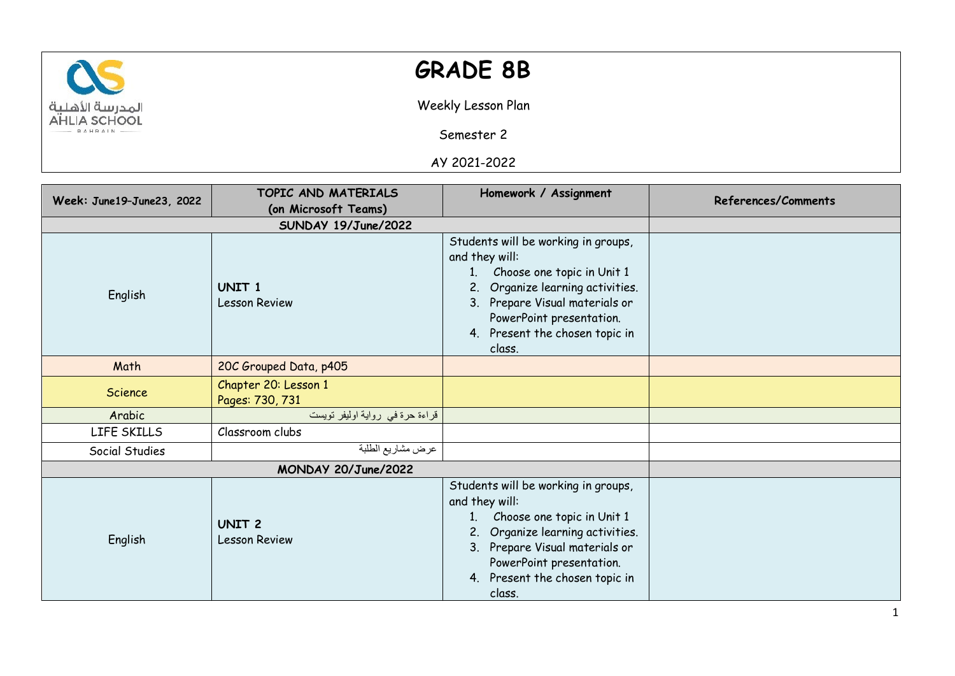

## **GRADE 8B**

Weekly Lesson Plan

Semester 2

AY 2021-2022

| Week: June19-June23, 2022 | TOPIC AND MATERIALS                       | Homework / Assignment                                                                                                                                                                                                                                  | <b>References/Comments</b> |
|---------------------------|-------------------------------------------|--------------------------------------------------------------------------------------------------------------------------------------------------------------------------------------------------------------------------------------------------------|----------------------------|
|                           | (on Microsoft Teams)                      |                                                                                                                                                                                                                                                        |                            |
|                           |                                           |                                                                                                                                                                                                                                                        |                            |
| English                   | UNIT <sub>1</sub><br><b>Lesson Review</b> | Students will be working in groups,<br>and they will:<br>Choose one topic in Unit 1<br>1 <sub>1</sub><br>Organize learning activities.<br>2.<br>3. Prepare Visual materials or<br>PowerPoint presentation.<br>4. Present the chosen topic in<br>class. |                            |
| Math                      | 20C Grouped Data, p405                    |                                                                                                                                                                                                                                                        |                            |
| <b>Science</b>            | Chapter 20: Lesson 1<br>Pages: 730, 731   |                                                                                                                                                                                                                                                        |                            |
| Arabic                    | قراءة حرة في رواية اوليفر تويست           |                                                                                                                                                                                                                                                        |                            |
| LIFE SKILLS               | Classroom clubs                           |                                                                                                                                                                                                                                                        |                            |
| Social Studies            | عرض مشاريع الطلبة                         |                                                                                                                                                                                                                                                        |                            |
|                           | MONDAY 20/June/2022                       |                                                                                                                                                                                                                                                        |                            |
| English                   | <b>UNIT 2</b><br><b>Lesson Review</b>     | Students will be working in groups,<br>and they will:<br>Choose one topic in Unit 1<br>1.<br>Organize learning activities.<br>2.<br>3. Prepare Visual materials or<br>PowerPoint presentation.<br>4. Present the chosen topic in<br>class.             |                            |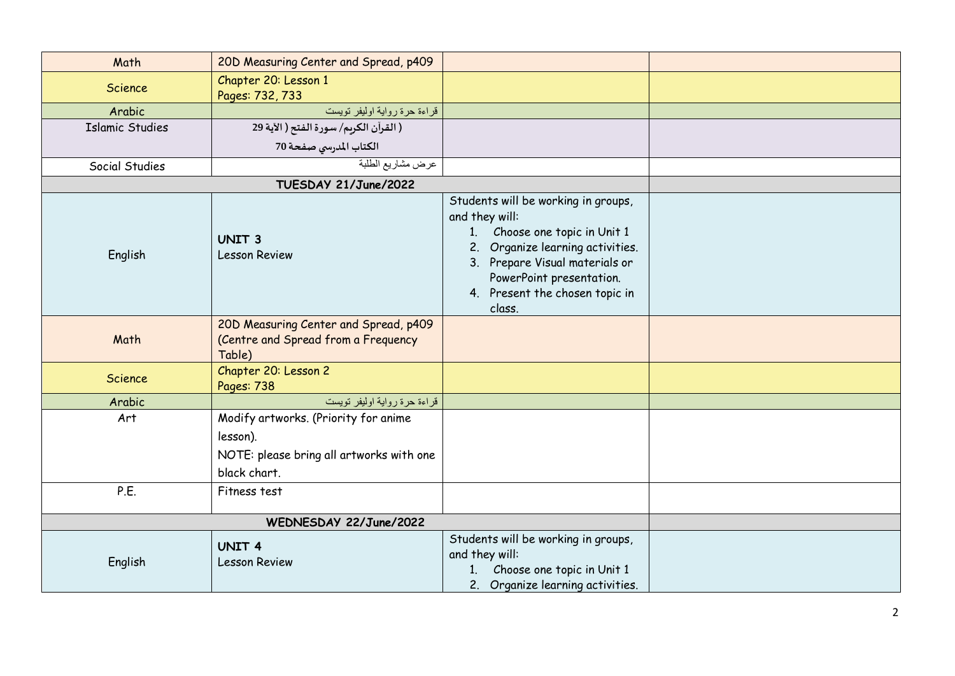| Math                   | 20D Measuring Center and Spread, p409                                                                        |                                                                                                                                                                                                                                            |  |
|------------------------|--------------------------------------------------------------------------------------------------------------|--------------------------------------------------------------------------------------------------------------------------------------------------------------------------------------------------------------------------------------------|--|
| <b>Science</b>         | Chapter 20: Lesson 1                                                                                         |                                                                                                                                                                                                                                            |  |
|                        | Pages: 732, 733                                                                                              |                                                                                                                                                                                                                                            |  |
| Arabic                 | قراءة حرة رواية اوليفر تويست                                                                                 |                                                                                                                                                                                                                                            |  |
| <b>Islamic Studies</b> | ( القرآن الكريم/ سورة الفتح ( الآية 29                                                                       |                                                                                                                                                                                                                                            |  |
|                        | الكتاب المدرسي صفحة 70                                                                                       |                                                                                                                                                                                                                                            |  |
| Social Studies         | عرض مشاريع الطلبة                                                                                            |                                                                                                                                                                                                                                            |  |
|                        | TUESDAY 21/June/2022                                                                                         |                                                                                                                                                                                                                                            |  |
| English                | <b>UNIT 3</b><br><b>Lesson Review</b>                                                                        | Students will be working in groups,<br>and they will:<br>Choose one topic in Unit 1<br>1.<br>Organize learning activities.<br>2.<br>3. Prepare Visual materials or<br>PowerPoint presentation.<br>4. Present the chosen topic in<br>class. |  |
| Math                   | 20D Measuring Center and Spread, p409<br>(Centre and Spread from a Frequency<br>Table)                       |                                                                                                                                                                                                                                            |  |
| <b>Science</b>         | Chapter 20: Lesson 2<br>Pages: 738                                                                           |                                                                                                                                                                                                                                            |  |
| Arabic                 | قراءة حرة رواية اوليفر تويست                                                                                 |                                                                                                                                                                                                                                            |  |
| Art                    | Modify artworks. (Priority for anime<br>lesson).<br>NOTE: please bring all artworks with one<br>black chart. |                                                                                                                                                                                                                                            |  |
| P.E.                   | Fitness test                                                                                                 |                                                                                                                                                                                                                                            |  |
|                        |                                                                                                              |                                                                                                                                                                                                                                            |  |
| English                | <b>UNIT 4</b><br><b>Lesson Review</b>                                                                        | Students will be working in groups,<br>and they will:<br>Choose one topic in Unit 1<br>1 <sub>l</sub><br>2. Organize learning activities.                                                                                                  |  |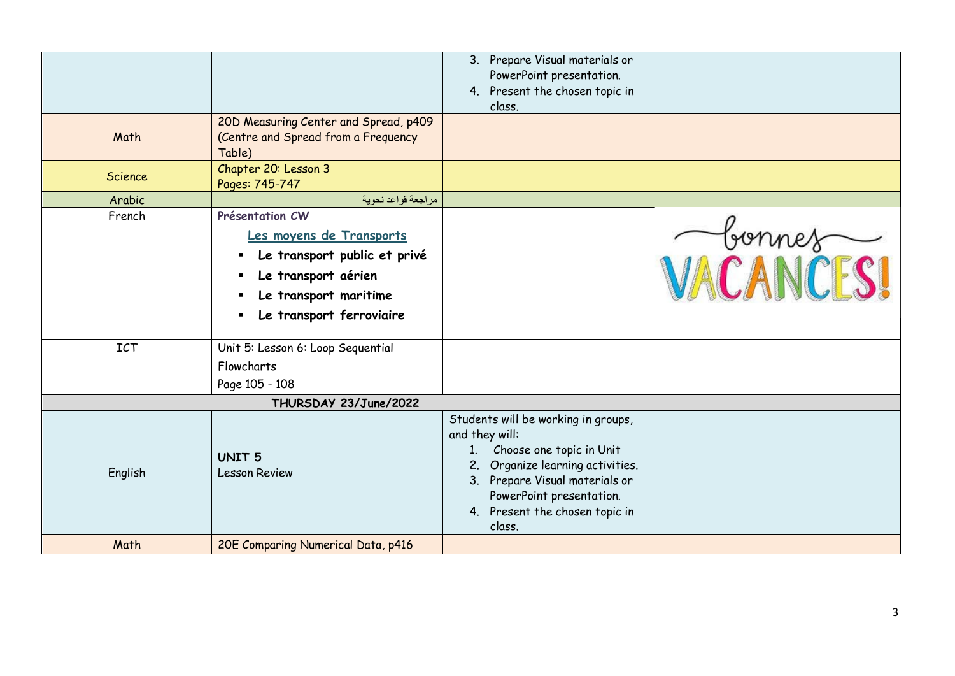|                      |                                                                                                                                                                                                                              | 3. Prepare Visual materials or<br>PowerPoint presentation.<br>4. Present the chosen topic in<br>class.                                                                                                                                |          |
|----------------------|------------------------------------------------------------------------------------------------------------------------------------------------------------------------------------------------------------------------------|---------------------------------------------------------------------------------------------------------------------------------------------------------------------------------------------------------------------------------------|----------|
| Math                 | 20D Measuring Center and Spread, p409<br>(Centre and Spread from a Frequency<br>Table)                                                                                                                                       |                                                                                                                                                                                                                                       |          |
| Science              | Chapter 20: Lesson 3<br>Pages: 745-747                                                                                                                                                                                       |                                                                                                                                                                                                                                       |          |
| Arabic               | مراجعة قواعد نحوية                                                                                                                                                                                                           |                                                                                                                                                                                                                                       |          |
| French<br><b>ICT</b> | Présentation CW<br>Les moyens de Transports<br>Le transport public et privé<br>Le transport aérien<br>Le transport maritime<br>$\blacksquare$<br>Le transport ferroviaire<br>Unit 5: Lesson 6: Loop Sequential<br>Flowcharts |                                                                                                                                                                                                                                       | VACANCES |
|                      | Page 105 - 108                                                                                                                                                                                                               |                                                                                                                                                                                                                                       |          |
|                      | THURSDAY 23/June/2022                                                                                                                                                                                                        |                                                                                                                                                                                                                                       |          |
| English              | <b>UNIT 5</b><br><b>Lesson Review</b>                                                                                                                                                                                        | Students will be working in groups,<br>and they will:<br>1. Choose one topic in Unit<br>Organize learning activities.<br>2.<br>3. Prepare Visual materials or<br>PowerPoint presentation.<br>4. Present the chosen topic in<br>class. |          |
| Math                 | 20E Comparing Numerical Data, p416                                                                                                                                                                                           |                                                                                                                                                                                                                                       |          |